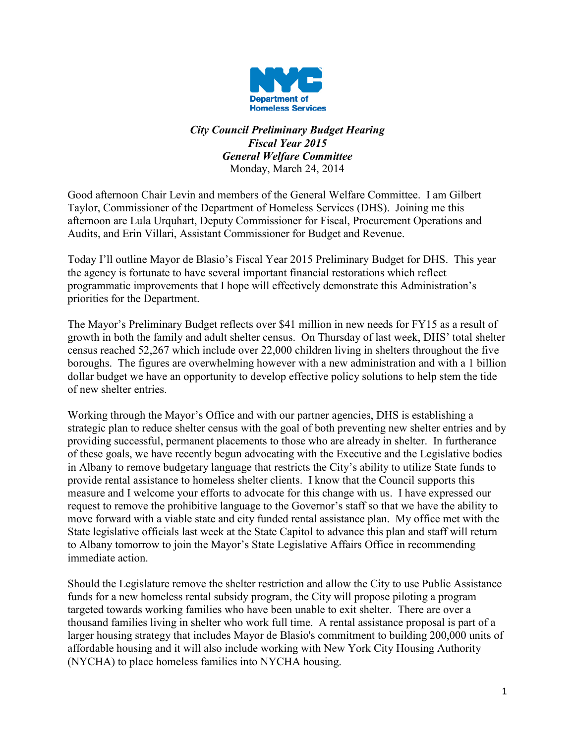

## *City Council Preliminary Budget Hearing Fiscal Year 2015 General Welfare Committee* Monday, March 24, 2014

Good afternoon Chair Levin and members of the General Welfare Committee. I am Gilbert Taylor, Commissioner of the Department of Homeless Services (DHS). Joining me this afternoon are Lula Urquhart, Deputy Commissioner for Fiscal, Procurement Operations and Audits, and Erin Villari, Assistant Commissioner for Budget and Revenue.

Today I'll outline Mayor de Blasio's Fiscal Year 2015 Preliminary Budget for DHS. This year the agency is fortunate to have several important financial restorations which reflect programmatic improvements that I hope will effectively demonstrate this Administration's priorities for the Department.

The Mayor's Preliminary Budget reflects over \$41 million in new needs for FY15 as a result of growth in both the family and adult shelter census. On Thursday of last week, DHS' total shelter census reached 52,267 which include over 22,000 children living in shelters throughout the five boroughs. The figures are overwhelming however with a new administration and with a 1 billion dollar budget we have an opportunity to develop effective policy solutions to help stem the tide of new shelter entries.

Working through the Mayor's Office and with our partner agencies, DHS is establishing a strategic plan to reduce shelter census with the goal of both preventing new shelter entries and by providing successful, permanent placements to those who are already in shelter. In furtherance of these goals, we have recently begun advocating with the Executive and the Legislative bodies in Albany to remove budgetary language that restricts the City's ability to utilize State funds to provide rental assistance to homeless shelter clients. I know that the Council supports this measure and I welcome your efforts to advocate for this change with us. I have expressed our request to remove the prohibitive language to the Governor's staff so that we have the ability to move forward with a viable state and city funded rental assistance plan. My office met with the State legislative officials last week at the State Capitol to advance this plan and staff will return to Albany tomorrow to join the Mayor's State Legislative Affairs Office in recommending immediate action.

Should the Legislature remove the shelter restriction and allow the City to use Public Assistance funds for a new homeless rental subsidy program, the City will propose piloting a program targeted towards working families who have been unable to exit shelter. There are over a thousand families living in shelter who work full time. A rental assistance proposal is part of a larger housing strategy that includes Mayor de Blasio's commitment to building 200,000 units of affordable housing and it will also include working with New York City Housing Authority (NYCHA) to place homeless families into NYCHA housing.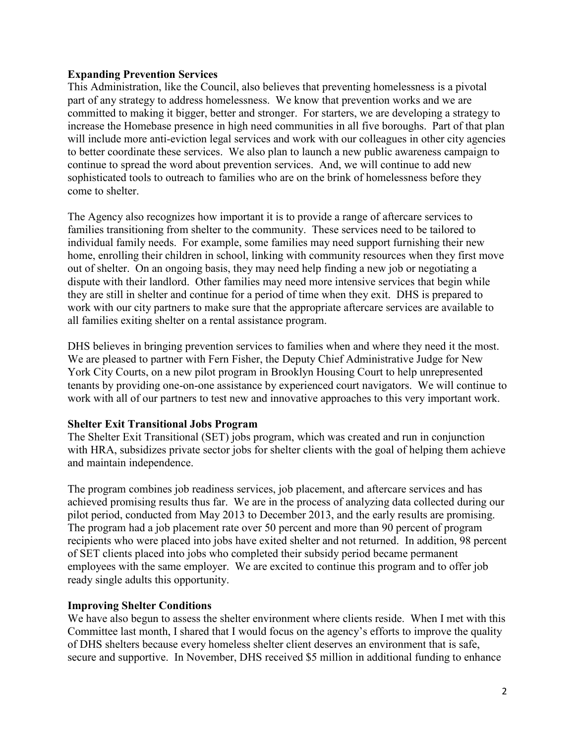#### **Expanding Prevention Services**

This Administration, like the Council, also believes that preventing homelessness is a pivotal part of any strategy to address homelessness. We know that prevention works and we are committed to making it bigger, better and stronger. For starters, we are developing a strategy to increase the Homebase presence in high need communities in all five boroughs. Part of that plan will include more anti-eviction legal services and work with our colleagues in other city agencies to better coordinate these services. We also plan to launch a new public awareness campaign to continue to spread the word about prevention services. And, we will continue to add new sophisticated tools to outreach to families who are on the brink of homelessness before they come to shelter.

The Agency also recognizes how important it is to provide a range of aftercare services to families transitioning from shelter to the community. These services need to be tailored to individual family needs. For example, some families may need support furnishing their new home, enrolling their children in school, linking with community resources when they first move out of shelter. On an ongoing basis, they may need help finding a new job or negotiating a dispute with their landlord. Other families may need more intensive services that begin while they are still in shelter and continue for a period of time when they exit. DHS is prepared to work with our city partners to make sure that the appropriate aftercare services are available to all families exiting shelter on a rental assistance program.

DHS believes in bringing prevention services to families when and where they need it the most. We are pleased to partner with Fern Fisher, the Deputy Chief Administrative Judge for New York City Courts, on a new pilot program in Brooklyn Housing Court to help unrepresented tenants by providing one-on-one assistance by experienced court navigators. We will continue to work with all of our partners to test new and innovative approaches to this very important work.

## **Shelter Exit Transitional Jobs Program**

The Shelter Exit Transitional (SET) jobs program, which was created and run in conjunction with HRA, subsidizes private sector jobs for shelter clients with the goal of helping them achieve and maintain independence.

The program combines job readiness services, job placement, and aftercare services and has achieved promising results thus far. We are in the process of analyzing data collected during our pilot period, conducted from May 2013 to December 2013, and the early results are promising. The program had a job placement rate over 50 percent and more than 90 percent of program recipients who were placed into jobs have exited shelter and not returned. In addition, 98 percent of SET clients placed into jobs who completed their subsidy period became permanent employees with the same employer. We are excited to continue this program and to offer job ready single adults this opportunity.

#### **Improving Shelter Conditions**

We have also begun to assess the shelter environment where clients reside. When I met with this Committee last month, I shared that I would focus on the agency's efforts to improve the quality of DHS shelters because every homeless shelter client deserves an environment that is safe, secure and supportive. In November, DHS received \$5 million in additional funding to enhance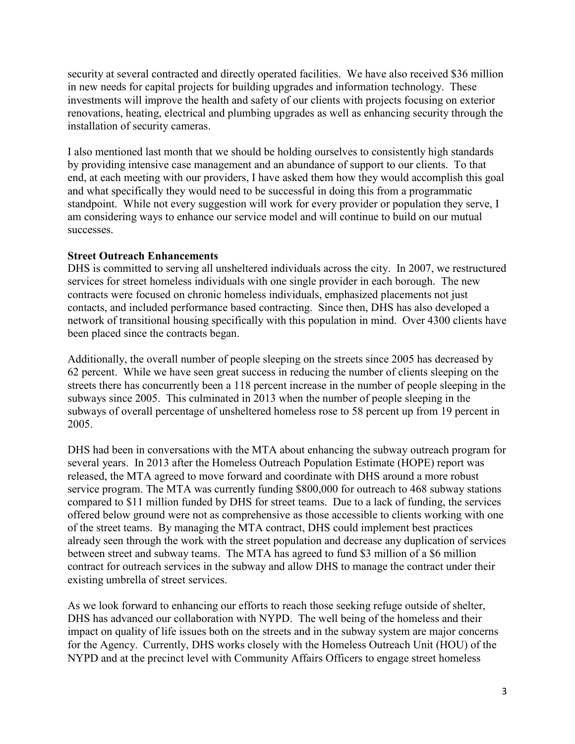security at several contracted and directly operated facilities. We have also received \$36 million in new needs for capital projects for building upgrades and information technology. These investments will improve the health and safety of our clients with projects focusing on exterior renovations, heating, electrical and plumbing upgrades as well as enhancing security through the installation of security cameras.

I also mentioned last month that we should be holding ourselves to consistently high standards by providing intensive case management and an abundance of support to our clients. To that end, at each meeting with our providers, I have asked them how they would accomplish this goal and what specifically they would need to be successful in doing this from a programmatic standpoint. While not every suggestion will work for every provider or population they serve, I am considering ways to enhance our service model and will continue to build on our mutual successes.

### **Street Outreach Enhancements**

DHS is committed to serving all unsheltered individuals across the city. In 2007, we restructured services for street homeless individuals with one single provider in each borough. The new contracts were focused on chronic homeless individuals, emphasized placements not just contacts, and included performance based contracting. Since then, DHS has also developed a network of transitional housing specifically with this population in mind. Over 4300 clients have been placed since the contracts began.

Additionally, the overall number of people sleeping on the streets since 2005 has decreased by 62 percent. While we have seen great success in reducing the number of clients sleeping on the streets there has concurrently been a 118 percent increase in the number of people sleeping in the subways since 2005. This culminated in 2013 when the number of people sleeping in the subways of overall percentage of unsheltered homeless rose to 58 percent up from 19 percent in 2005.

DHS had been in conversations with the MTA about enhancing the subway outreach program for several years. In 2013 after the Homeless Outreach Population Estimate (HOPE) report was released, the MTA agreed to move forward and coordinate with DHS around a more robust service program. The MTA was currently funding \$800,000 for outreach to 468 subway stations compared to \$11 million funded by DHS for street teams. Due to a lack of funding, the services offered below ground were not as comprehensive as those accessible to clients working with one of the street teams. By managing the MTA contract, DHS could implement best practices already seen through the work with the street population and decrease any duplication of services between street and subway teams. The MTA has agreed to fund \$3 million of a \$6 million contract for outreach services in the subway and allow DHS to manage the contract under their existing umbrella of street services.

As we look forward to enhancing our efforts to reach those seeking refuge outside of shelter, DHS has advanced our collaboration with NYPD. The well being of the homeless and their impact on quality of life issues both on the streets and in the subway system are major concerns for the Agency. Currently, DHS works closely with the Homeless Outreach Unit (HOU) of the NYPD and at the precinct level with Community Affairs Officers to engage street homeless